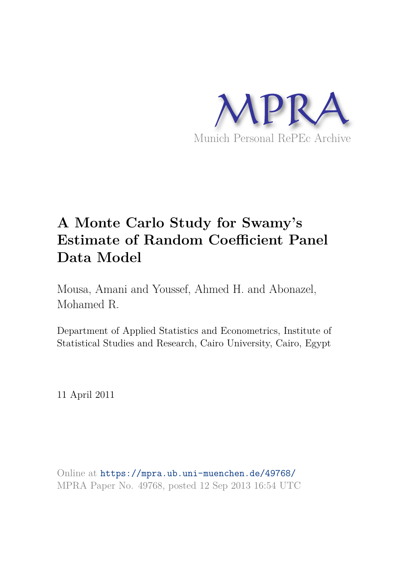

# **A Monte Carlo Study for Swamy's Estimate of Random Coefficient Panel Data Model**

Mousa, Amani and Youssef, Ahmed H. and Abonazel, Mohamed R.

Department of Applied Statistics and Econometrics, Institute of Statistical Studies and Research, Cairo University, Cairo, Egypt

11 April 2011

Online at https://mpra.ub.uni-muenchen.de/49768/ MPRA Paper No. 49768, posted 12 Sep 2013 16:54 UTC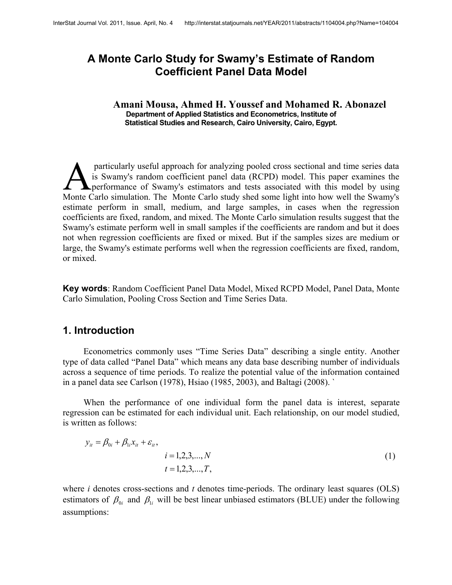# **A Monte Carlo Study for Swamy's Estimate of Random Coefficient Panel Data Model**

#### **Amani Mousa, Ahmed H. Youssef and Mohamed R. Abonazel Department of Applied Statistics and Econometrics, Institute of Statistical Studies and Research, Cairo University, Cairo, Egypt.**

 particularly useful approach for analyzing pooled cross sectional and time series data is Swamy's random coefficient panel data (RCPD) model. This paper examines the **A** performance of Swamy's estimators and tests associated with this model by using particularly useful approach for analyzing pooled cross sectional and time series data<br>is Swamy's random coefficient panel data (RCPD) model. This paper examines the<br>performance of Swamy's estimators and tests associated w estimate perform in small, medium, and large samples, in cases when the regression coefficients are fixed, random, and mixed. The Monte Carlo simulation results suggest that the Swamy's estimate perform well in small samples if the coefficients are random and but it does not when regression coefficients are fixed or mixed. But if the samples sizes are medium or large, the Swamy's estimate performs well when the regression coefficients are fixed, random, or mixed.

**Key words**: Random Coefficient Panel Data Model, Mixed RCPD Model, Panel Data, Monte Carlo Simulation, Pooling Cross Section and Time Series Data.

#### **1. Introduction**

Econometrics commonly uses "Time Series Data" describing a single entity. Another type of data called "Panel Data" which means any data base describing number of individuals across a sequence of time periods. To realize the potential value of the information contained in a panel data see Carlson (1978), Hsiao (1985, 2003), and Baltagi (2008). `

When the performance of one individual form the panel data is interest, separate regression can be estimated for each individual unit. Each relationship, on our model studied, is written as follows:

$$
y_{ii} = \beta_{0i} + \beta_{1i} x_{ii} + \varepsilon_{ii},
$$
  
\n $i = 1, 2, 3, ..., N$   
\n $t = 1, 2, 3, ..., T,$  (1)

where *i* denotes cross-sections and *t* denotes time-periods. The ordinary least squares (OLS) estimators of  $\beta_{0i}$  and  $\beta_{1i}$  will be best linear unbiased estimators (BLUE) under the following assumptions: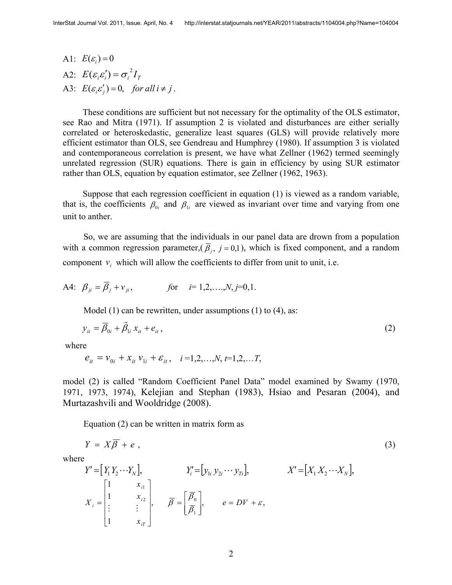A1:  $E(\varepsilon_i) = 0$ A2:  $E(\varepsilon_i \varepsilon_i') = \sigma_i^2 I_T$ A3:  $E(\varepsilon_i \varepsilon'_j) = 0$ , for all  $i \neq j$ .

These conditions are sufficient but not necessary for the optimality of the OLS estimator, see Rao and Mitra (1971). If assumption 2 is violated and disturbances are either serially correlated or heteroskedastic, generalize least squares (GLS) will provide relatively more efficient estimator than OLS, see Gendreau and Humphrey (1980). If assumption 3 is violated and contemporaneous correlation is present, we have what Zellner (1962) termed seemingly unrelated regression (SUR) equations. There is gain in efficiency by using SUR estimator rather than OLS, equation by equation estimator, see Zellner (1962, 1963).

Suppose that each regression coefficient in equation (1) is viewed as a random variable, that is, the coefficients  $\beta_{0i}$  and  $\beta_{1i}$  are viewed as invariant over time and varying from one unit to anther.

So, we are assuming that the individuals in our panel data are drown from a population with a common regression parameter,( $\beta_j$ ,  $j = 0,1$ ), which is fixed component, and a random component  $v_i$  which will allow the coefficients to differ from unit to unit, i.e.

A4: 
$$
\beta_{ji} = \overline{\beta}_j + v_{ji}
$$
, for  $i = 1, 2, ..., N, j = 0, 1$ .

Model (1) can be rewritten, under assumptions (1) to (4), as:

$$
y_{it} = \overline{\beta}_{0i} + \overline{\beta}_{1i} x_{it} + e_{it}, \qquad (2)
$$

where

$$
e_{it} = v_{0i} + x_{it} v_{1i} + \varepsilon_{it}, \quad i = 1, 2, ..., N, t = 1, 2, ... T,
$$

model (2) is called "Random Coefficient Panel Data" model examined by Swamy (1970, 1971, 1973, 1974), Kelejian and Stephan (1983), Hsiao and Pesaran (2004), and Murtazashvili and Wooldridge (2008).

Equation (2) can be written in matrix form as

$$
Y = X\overline{\beta} + e \tag{3}
$$

where

$$
Y' = [Y_1 Y_2 \cdots Y_N],
$$
  
\n
$$
Y_i' = [y_{1i} y_{2i} \cdots y_{Ti}],
$$
  
\n
$$
X' = [X_1 X_2 \cdots X_N],
$$
  
\n
$$
X_i = \begin{bmatrix} 1 & x_{i1} \\ 1 & x_{i2} \\ \vdots & \vdots \\ 1 & x_{iT} \end{bmatrix},
$$
  
\n
$$
\overline{\beta} = \begin{bmatrix} \overline{\beta}_0 \\ \overline{\beta}_1 \end{bmatrix},
$$
  
\n
$$
e = DV + \varepsilon,
$$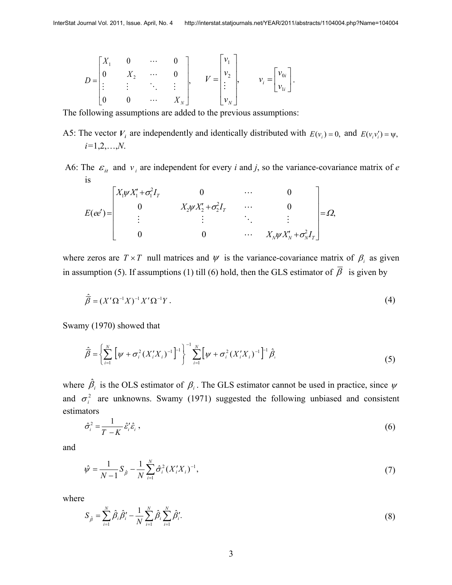$$
D = \begin{bmatrix} X_1 & 0 & \cdots & 0 \\ 0 & X_2 & \cdots & 0 \\ \vdots & \vdots & \ddots & \vdots \\ 0 & 0 & \cdots & X_N \end{bmatrix}, \qquad V = \begin{bmatrix} v_1 \\ v_2 \\ \vdots \\ v_N \end{bmatrix}, \qquad v_i = \begin{bmatrix} v_{0i} \\ v_{0i} \\ \vdots \\ v_{1i} \end{bmatrix}.
$$

The following assumptions are added to the previous assumptions:

- A5: The vector  $V_i$  are independently and identically distributed with  $E(v_i) = 0$ , and  $E(v_i v_i') = \psi$ , *i=*1,2,…,*N*.
- A6: The  $\varepsilon_{it}$  and  $v_i$  are independent for every *i* and *j*, so the variance-covariance matrix of *e* is

$$
E(ee') = \begin{bmatrix} X_1 \psi X_1' + \sigma_1^2 I_T & 0 & \cdots & 0 \\ 0 & X_2 \psi X_2' + \sigma_2^2 I_T & \cdots & 0 \\ \vdots & \vdots & \ddots & \vdots \\ 0 & 0 & \cdots & X_N \psi X_N' + \sigma_N^2 I_T \end{bmatrix} = \Omega,
$$

where zeros are  $T \times T$  null matrices and  $\psi$  is the variance-covariance matrix of  $\beta_i$  as given in assumption (5). If assumptions (1) till (6) hold, then the GLS estimator of  $\overline{\beta}$  is given by

$$
\widehat{\overline{\beta}} = (X'\Omega^{-1}X)^{-1}X'\Omega^{-1}Y. \tag{4}
$$

Swamy (1970) showed that

$$
\hat{\vec{\beta}} = \left\{ \sum_{i=1}^{N} \left[ \psi + \sigma_i^2 (X_i' X_i)^{-1} \right]^{-1} \right\}^{-1} \sum_{i=1}^{N} \left[ \psi + \sigma_i^2 (X_i' X_i)^{-1} \right]^{-1} \hat{\beta}_i
$$
\n(5)

where  $\hat{\beta}_i$  is the OLS estimator of  $\beta_i$ . The GLS estimator cannot be used in practice, since  $\psi$ and  $\sigma_i^2$  are unknowns. Swamy (1971) suggested the following unbiased and consistent estimators

$$
\hat{\sigma}_i^2 = \frac{1}{T - K} \hat{\varepsilon}_i' \hat{\varepsilon}_i \,, \tag{6}
$$

and

$$
\hat{\psi} = \frac{1}{N-1} S_{\hat{\beta}} - \frac{1}{N} \sum_{i=1}^{N} \hat{\sigma}_i^2 (X_i' X_i)^{-1},\tag{7}
$$

where

$$
S_{\hat{\beta}} = \sum_{i=1}^{N} \hat{\beta}_i \hat{\beta}'_i - \frac{1}{N} \sum_{i=1}^{N} \hat{\beta}_i \sum_{i=1}^{N} \hat{\beta}'_i.
$$
 (8)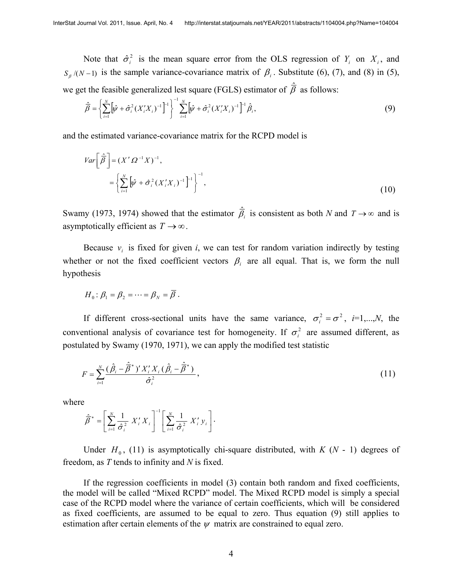Note that  $\hat{\sigma}_i^2$  is the mean square error from the OLS regression of  $Y_i$  on  $X_i$ , and  $S_{\beta}/(N-1)$  is the sample variance-covariance matrix of  $\beta_i$ . Substitute (6), (7), and (8) in (5), we get the feasible generalized lest square (FGLS) estimator of  $\hat{\vec{\beta}}$  as follows:

$$
\hat{\vec{\beta}} = \left\{ \sum_{i=1}^{N} \left[ \hat{\psi} + \hat{\sigma}_i^2 (X_i X_i)^{-1} \right]^{-1} \right\}^{-1} \sum_{i=1}^{N} \left[ \hat{\psi} + \hat{\sigma}_i^2 (X_i X_i)^{-1} \right]^{-1} \hat{\beta}_i,
$$
\n(9)

and the estimated variance-covariance matrix for the RCPD model is

$$
Var\left[\hat{\vec{\beta}}\right] = (X'\,\Omega^{-1}X)^{-1},
$$
  
=\left\{\sum\_{i=1}^{N} \left[\hat{\psi} + \hat{\sigma}\_i^2 (X'\_i X\_i)^{-1}\right]^{-1}\right\}^{-1}, (10)

Swamy (1973, 1974) showed that the estimator  $\hat{\vec{B}}_i$  is consistent as both *N* and  $T \rightarrow \infty$  and is asymptotically efficient as  $T \rightarrow \infty$ .

Because  $v_i$  is fixed for given *i*, we can test for random variation indirectly by testing whether or not the fixed coefficient vectors  $\beta_i$  are all equal. That is, we form the null hypothesis

$$
H_0: \beta_1 = \beta_2 = \cdots = \beta_N = \overline{\beta}.
$$

If different cross-sectional units have the same variance,  $\sigma_i^2 = \sigma^2$ , *i*=1,...,*N*, the conventional analysis of covariance test for homogeneity. If  $\sigma_i^2$  are assumed different, as postulated by Swamy (1970, 1971), we can apply the modified test statistic

$$
F = \sum_{i=1}^{N} \frac{(\hat{\beta}_i - \hat{\vec{\beta}}^*)' X_i' X_i (\hat{\beta}_i - \hat{\vec{\beta}}^*)}{\hat{\sigma}_i^2},
$$
\n(11)

where

$$
\hat{\overline{\beta}}^* = \left[ \sum_{i=1}^N \frac{1}{\hat{\sigma}_i^2} X_i' X_i \right]^{-1} \left[ \sum_{i=1}^N \frac{1}{\hat{\sigma}_i^2} X_i' y_i \right].
$$

Under  $H_0$ , (11) is asymptotically chi-square distributed, with  $K(N - 1)$  degrees of freedom, as *T* tends to infinity and *N* is fixed.

If the regression coefficients in model (3) contain both random and fixed coefficients, the model will be called "Mixed RCPD" model. The Mixed RCPD model is simply a special case of the RCPD model where the variance of certain coefficients, which will be considered as fixed coefficients, are assumed to be equal to zero. Thus equation (9) still applies to estimation after certain elements of the  $\psi$  matrix are constrained to equal zero.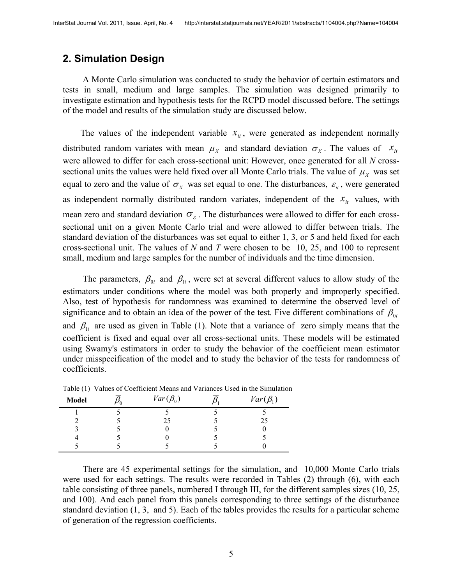#### **2. Simulation Design**

A Monte Carlo simulation was conducted to study the behavior of certain estimators and tests in small, medium and large samples. The simulation was designed primarily to investigate estimation and hypothesis tests for the RCPD model discussed before. The settings of the model and results of the simulation study are discussed below.

The values of the independent variable  $x_{it}$ , were generated as independent normally distributed random variates with mean  $\mu_X$  and standard deviation  $\sigma_X$ . The values of  $x_{\mu}$ were allowed to differ for each cross-sectional unit: However, once generated for all *N* crosssectional units the values were held fixed over all Monte Carlo trials. The value of  $\mu_X$  was set equal to zero and the value of  $\sigma_X$  was set equal to one. The disturbances,  $\varepsilon_{it}$ , were generated as independent normally distributed random variates, independent of the  $x_{it}$  values, with mean zero and standard deviation  $\sigma_{\varepsilon}$ . The disturbances were allowed to differ for each crosssectional unit on a given Monte Carlo trial and were allowed to differ between trials. The standard deviation of the disturbances was set equal to either 1, 3, or 5 and held fixed for each cross-sectional unit. The values of *N* and *T* were chosen to be 10, 25, and 100 to represent small, medium and large samples for the number of individuals and the time dimension.

The parameters,  $\beta_{0i}$  and  $\beta_{1i}$ , were set at several different values to allow study of the estimators under conditions where the model was both properly and improperly specified. Also, test of hypothesis for randomness was examined to determine the observed level of significance and to obtain an idea of the power of the test. Five different combinations of  $\beta_{0i}$ and  $\beta_{1i}$  are used as given in Table (1). Note that a variance of zero simply means that the coefficient is fixed and equal over all cross-sectional units. These models will be estimated using Swamy's estimators in order to study the behavior of the coefficient mean estimator under misspecification of the model and to study the behavior of the tests for randomness of coefficients.

| Model | $Var(\beta_0)$ | $Var(\beta_1)$ |
|-------|----------------|----------------|
|       |                |                |
|       | 25             | 25             |
|       |                |                |
|       |                |                |
|       |                |                |

Table (1) Values of Coefficient Means and Variances Used in the Simulation

There are 45 experimental settings for the simulation, and 10,000 Monte Carlo trials were used for each settings. The results were recorded in Tables (2) through (6), with each table consisting of three panels, numbered I through III, for the different samples sizes (10, 25, and 100). And each panel from this panels corresponding to three settings of the disturbance standard deviation (1, 3, and 5). Each of the tables provides the results for a particular scheme of generation of the regression coefficients.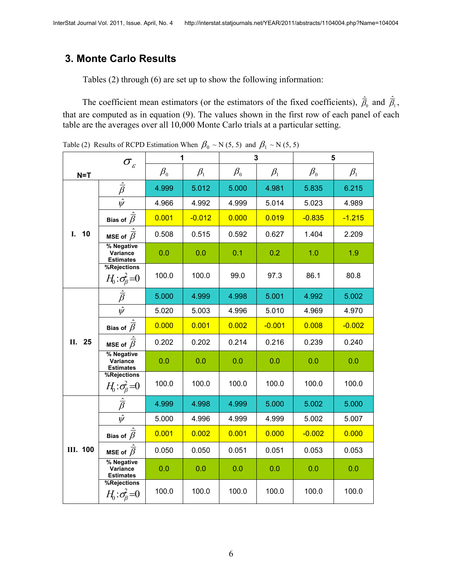# **3. Monte Carlo Results**

Tables (2) through (6) are set up to show the following information:

The coefficient mean estimators (or the estimators of the fixed coefficients),  $\hat{\vec{B}}_0$  and  $\hat{\vec{B}}_1$ , that are computed as in equation (9). The values shown in the first row of each panel of each table are the averages over all 10,000 Monte Carlo trials at a particular setting.

Table (2) Results of RCPD Estimation When  $\beta_0 \sim N(5, 5)$  and  $\beta_1 \sim N(5, 5)$ 

| $\sigma_{\scriptscriptstyle \mathcal{E}}$ |                                                                     | 1         |           | $\overline{3}$ |           | 5         |           |
|-------------------------------------------|---------------------------------------------------------------------|-----------|-----------|----------------|-----------|-----------|-----------|
| $N = T$                                   |                                                                     | $\beta_0$ | $\beta_1$ | $\beta_0$      | $\beta_1$ | $\beta_0$ | $\beta_1$ |
|                                           | $\hat{\bar{\beta}}$                                                 | 4.999     | 5.012     | 5.000          | 4.981     | 5.835     | 6.215     |
|                                           | $\hat{\psi}$                                                        | 4.966     | 4.992     | 4.999          | 5.014     | 5.023     | 4.989     |
|                                           | Bias of $\hat{\overline{\beta}}$<br>MSE of $\hat{\overline{\beta}}$ | 0.001     | $-0.012$  | 0.000          | 0.019     | $-0.835$  | $-1.215$  |
| 10<br>I.                                  |                                                                     | 0.508     | 0.515     | 0.592          | 0.627     | 1.404     | 2.209     |
|                                           | % Negative<br>Variance<br><b>Estimates</b>                          | 0.0       | 0.0       | 0.1            | 0.2       | 1.0       | 1.9       |
|                                           | %Rejections<br>$H_0: \sigma_\beta^2=0$                              | 100.0     | 100.0     | 99.0           | 97.3      | 86.1      | 80.8      |
|                                           | $\hat{\bar{\beta}}$                                                 | 5.000     | 4.999     | 4.998          | 5.001     | 4.992     | 5.002     |
|                                           | $\hat{\psi}$                                                        | 5.020     | 5.003     | 4.996          | 5.010     | 4.969     | 4.970     |
|                                           | Bias of $\overline{\hat{\beta}}$                                    | 0.000     | 0.001     | 0.002          | $-0.001$  | 0.008     | $-0.002$  |
| 25<br>II.                                 | MSE of $\hat{\bar{\beta}}$                                          | 0.202     | 0.202     | 0.214          | 0.216     | 0.239     | 0.240     |
|                                           | % Negative<br>Variance<br><b>Estimates</b>                          | 0.0       | 0.0       | 0.0            | 0.0       | 0.0       | 0.0       |
|                                           | %Rejections<br>$H_0: \sigma_\beta^2=0$                              | 100.0     | 100.0     | 100.0          | 100.0     | 100.0     | 100.0     |
|                                           | $\hat{\bar{\beta}}$                                                 | 4.999     | 4.998     | 4.999          | 5.000     | 5.002     | 5.000     |
|                                           | $\hat{\psi}$                                                        | 5.000     | 4.996     | 4.999          | 4.999     | 5.002     | 5.007     |
|                                           | Bias of $\hat{\bar{\beta}}$                                         | 0.001     | 0.002     | 0.001          | 0.000     | $-0.002$  | 0.000     |
| <b>III. 100</b>                           | MSE of $\hat{\overline{\beta}}$                                     | 0.050     | 0.050     | 0.051          | 0.051     | 0.053     | 0.053     |
|                                           | % Negative<br>Variance<br><b>Estimates</b>                          | 0.0       | 0.0       | 0.0            | 0.0       | 0.0       | 0.0       |
|                                           | %Rejections<br>$H_0: \sigma_\beta^2=0$                              | 100.0     | 100.0     | 100.0          | 100.0     | 100.0     | 100.0     |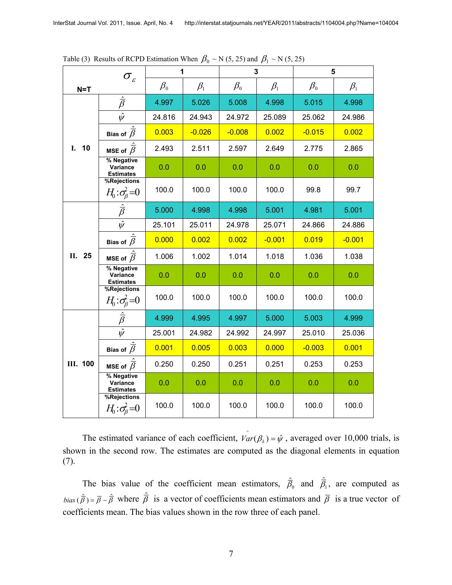| $\sigma_{\varepsilon}$ |                                            | 1         |           | $\mathbf{3}$ |           | 5                              |           |
|------------------------|--------------------------------------------|-----------|-----------|--------------|-----------|--------------------------------|-----------|
| $N = T$                |                                            | $\beta_0$ | $\beta_1$ | $\beta_0$    | $\beta_1$ | $\beta_{\scriptscriptstyle 0}$ | $\beta_1$ |
|                        | $\overline{\hat{\beta}}$                   | 4.997     | 5.026     | 5.008        | 4.998     | 5.015                          | 4.998     |
|                        | $\overline{\hat{\psi}}$                    | 24.816    | 24.943    | 24.972       | 25.089    | 25.062                         | 24.986    |
|                        | Bias of $\hat{\overline{\beta}}$           | 0.003     | $-0.026$  | $-0.008$     | 0.002     | $-0.015$                       | 0.002     |
| 10<br>L.               | MSE of $\hat{\overline{\beta}}$            | 2.493     | 2.511     | 2.597        | 2.649     | 2.775                          | 2.865     |
|                        | % Negative<br>Variance<br><b>Estimates</b> | 0.0       | 0.0       | 0.0          | 0.0       | 0.0                            | 0.0       |
|                        | %Rejections<br>$H_0: \sigma_\beta^2=0$     | 100.0     | 100.0     | 100.0        | 100.0     | 99.8                           | 99.7      |
|                        | $\hat{\bar{\beta}}$                        | 5.000     | 4.998     | 4.998        | 5.001     | 4.981                          | 5.001     |
|                        | $\hat{\psi}$                               | 25.101    | 25.011    | 24.978       | 25.071    | 24.866                         | 24.886    |
|                        | Bias of $\overline{\hat{\beta}}$           | 0.000     | 0.002     | 0.002        | $-0.001$  | 0.019                          | $-0.001$  |
| 25<br>II.              | MSE of $\hat{\vec{\beta}}$                 | 1.006     | 1.002     | 1.014        | 1.018     | 1.036                          | 1.038     |
|                        | % Negative<br>Variance<br><b>Estimates</b> | 0.0       | 0.0       | 0.0          | 0.0       | 0.0                            | 0.0       |
|                        | %Rejections<br>$H_0: \sigma_\beta^2 = 0$   | 100.0     | 100.0     | 100.0        | 100.0     | 100.0                          | 100.0     |
|                        | $\frac{1}{\hat{\beta}}$                    | 4.999     | 4.995     | 4.997        | 5.000     | 5.003                          | 4.999     |
|                        | $\overline{\hat{\psi}}$                    | 25.001    | 24.982    | 24.992       | 24.997    | 25.010                         | 25.036    |
| <b>III. 100</b>        | Bias of $\hat{\overline{\beta}}$           | 0.001     | 0.005     | 0.003        | 0.000     | $-0.003$                       | 0.001     |
|                        | MSE of $\hat{\overline{\beta}}$            | 0.250     | 0.250     | 0.251        | 0.251     | 0.253                          | 0.253     |
|                        | % Negative<br>Variance<br><b>Estimates</b> | 0.0       | 0.0       | 0.0          | 0.0       | 0.0                            | 0.0       |
|                        | %Rejections<br>$H_0: \sigma_\beta^2 = 0$   | 100.0     | 100.0     | 100.0        | 100.0     | 100.0                          | 100.0     |

Table (3) Results of RCPD Estimation When  $\beta_0 \sim N(5, 25)$  and  $\beta_1 \sim N(5, 25)$ 

The estimated variance of each coefficient,  $\hat{Var}(\beta_k) = \hat{\psi}$ , averaged over 10,000 trials, is shown in the second row. The estimates are computed as the diagonal elements in equation (7).

The bias value of the coefficient mean estimators,  $\hat{\vec{B}}_0$  and  $\hat{\vec{B}}_1$ , are computed as  $bias(\hat{\vec{\beta}}) = \vec{\beta} - \hat{\vec{\beta}}$  where  $\hat{\vec{\beta}}$  is a vector of coefficients mean estimators and  $\vec{\beta}$  is a true vector of coefficients mean. The bias values shown in the row three of each panel.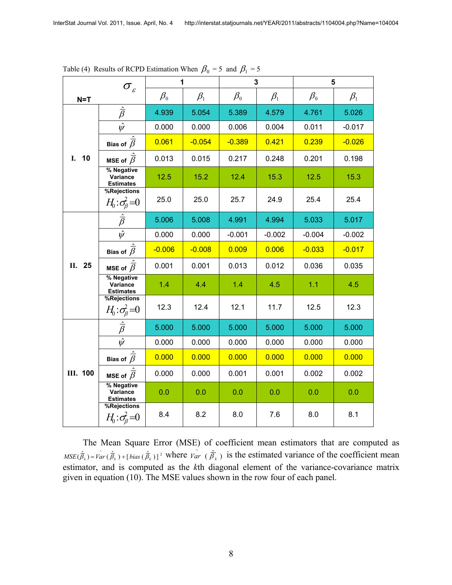| $\sigma_{\varepsilon}$ |                                            | 1         |           | $\mathbf{3}$                   |           | 5                              |           |
|------------------------|--------------------------------------------|-----------|-----------|--------------------------------|-----------|--------------------------------|-----------|
| $N = T$                |                                            | $\beta_0$ | $\beta_1$ | $\beta_{\scriptscriptstyle 0}$ | $\beta_1$ | $\beta_{\scriptscriptstyle 0}$ | $\beta_1$ |
|                        | $\hat{\bar{\beta}}$                        | 4.939     | 5.054     | 5.389                          | 4.579     | 4.761                          | 5.026     |
|                        | $\overline{\hat{\psi}}$                    | 0.000     | 0.000     | 0.006                          | 0.004     | 0.011                          | $-0.017$  |
|                        | Bias of $\hat{\overline{\beta}}$           | 0.061     | $-0.054$  | $-0.389$                       | 0.421     | 0.239                          | $-0.026$  |
| 10<br>I.               | MSE of $\overline{\hat{\beta}}$            | 0.013     | 0.015     | 0.217                          | 0.248     | 0.201                          | 0.198     |
|                        | % Negative<br>Variance<br><b>Estimates</b> | 12.5      | 15.2      | 12.4                           | 15.3      | 12.5                           | 15.3      |
|                        | %Rejections<br>$H_0: \sigma_\beta^2 = 0$   | 25.0      | 25.0      | 25.7                           | 24.9      | 25.4                           | 25.4      |
|                        | $\hat{\bar{\beta}}$                        | 5.006     | 5.008     | 4.991                          | 4.994     | 5.033                          | 5.017     |
|                        | $\hat{\psi}$                               | 0.000     | 0.000     | $-0.001$                       | $-0.002$  | $-0.004$                       | $-0.002$  |
|                        | Bias of $\hat{\overline{\beta}}$           | $-0.006$  | $-0.008$  | 0.009                          | 0.006     | $-0.033$                       | $-0.017$  |
| 25<br>Н.               | MSE of $\hat{\overline{\beta}}$            | 0.001     | 0.001     | 0.013                          | 0.012     | 0.036                          | 0.035     |
|                        | % Negative<br>Variance<br><b>Estimates</b> | 1.4       | 4.4       | 1.4                            | 4.5       | 1.1                            | 4.5       |
|                        | %Rejections<br>$H_0: \sigma_\beta^2 = 0$   | 12.3      | 12.4      | 12.1                           | 11.7      | 12.5                           | 12.3      |
|                        | $\frac{1}{\beta}$                          | 5.000     | 5.000     | 5.000                          | 5.000     | 5.000                          | 5.000     |
|                        | $\hat{\psi}$                               | 0.000     | 0.000     | 0.000                          | 0.000     | 0.000                          | 0.000     |
| <b>III. 100</b>        | Bias of $\hat{\overline{\beta}}$           | 0.000     | 0.000     | 0.000                          | 0.000     | 0.000                          | 0.000     |
|                        | MSE of $\hat{\overline{\beta}}$            | 0.000     | 0.000     | 0.001                          | 0.001     | 0.002                          | 0.002     |
|                        | % Negative<br>Variance<br><b>Estimates</b> | 0.0       | 0.0       | 0.0                            | 0.0       | 0.0                            | 0.0       |
|                        | %Rejections<br>$H_0: \sigma_\beta^2=0$     | 8.4       | 8.2       | 8.0                            | 7.6       | 8.0                            | 8.1       |

Table (4) Results of RCPD Estimation When  $\beta_0 = 5$  and  $\beta_1 = 5$ 

The Mean Square Error (MSE) of coefficient mean estimators that are computed as  $MSE(\hat{\vec{B}}_k) = \hat{Var}(\hat{\vec{B}}_k) + [\text{bias}(\hat{\vec{B}}_k)]^2$  where  $\hat{Var}(\hat{\vec{B}}_k)$  is the estimated variance of the coefficient mean estimator, and is computed as the *k*th diagonal element of the variance-covariance matrix given in equation (10). The MSE values shown in the row four of each panel.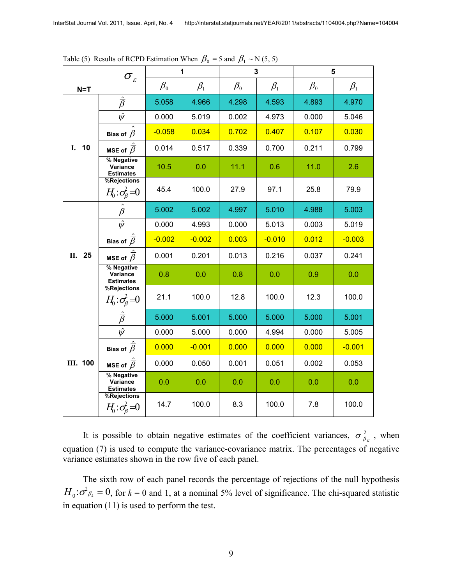| $\sigma_{\scriptscriptstyle \mathcal{E}}$ |                                                              | 1         |           | 3                              |           | 5                              |           |
|-------------------------------------------|--------------------------------------------------------------|-----------|-----------|--------------------------------|-----------|--------------------------------|-----------|
| $N = T$                                   |                                                              | $\beta_0$ | $\beta_1$ | $\beta_{\scriptscriptstyle 0}$ | $\beta_1$ | $\beta_{\scriptscriptstyle 0}$ | $\beta_1$ |
|                                           | $\hat{\bar{\beta}}$                                          | 5.058     | 4.966     | 4.298                          | 4.593     | 4.893                          | 4.970     |
|                                           | $\hat{\psi}$                                                 | 0.000     | 5.019     | 0.002                          | 4.973     | 0.000                          | 5.046     |
|                                           | Bias of $\hat{\overline{\beta}}$                             | $-0.058$  | 0.034     | 0.702                          | 0.407     | 0.107                          | 0.030     |
| 10<br>L.                                  | MSE of $\hat{\overline{\beta}}$                              | 0.014     | 0.517     | 0.339                          | 0.700     | 0.211                          | 0.799     |
|                                           | % Negative<br>Variance<br><b>Estimates</b>                   | 10.5      | 0.0       | 11.1                           | 0.6       | 11.0                           | 2.6       |
|                                           | %Rejections<br>$H_0: \sigma_\beta^2 = 0$                     | 45.4      | 100.0     | 27.9                           | 97.1      | 25.8                           | 79.9      |
|                                           | $\frac{\hat{\overline{\beta}}}{\hat{\psi}}$                  | 5.002     | 5.002     | 4.997                          | 5.010     | 4.988                          | 5.003     |
|                                           |                                                              | 0.000     | 4.993     | 0.000                          | 5.013     | 0.003                          | 5.019     |
|                                           | Bias of $\hat{\overline{\beta}}$                             | $-0.002$  | $-0.002$  | 0.003                          | $-0.010$  | 0.012                          | $-0.003$  |
| 25<br>П.                                  | MSE of $\overline{\hat{\beta}}$                              | 0.001     | 0.201     | 0.013                          | 0.216     | 0.037                          | 0.241     |
|                                           | % Negative<br>Variance<br><b>Estimates</b>                   | 0.8       | 0.0       | 0.8                            | 0.0       | 0.9                            | 0.0       |
|                                           | %Rejections<br>$\frac{H_0: \sigma_\beta^2 = 0}{\hat{\beta}}$ | 21.1      | 100.0     | 12.8                           | 100.0     | 12.3                           | 100.0     |
|                                           |                                                              | 5.000     | 5.001     | 5.000                          | 5.000     | 5.000                          | 5.001     |
|                                           | $\overline{\hat{\psi}}$                                      | 0.000     | 5.000     | 0.000                          | 4.994     | 0.000                          | 5.005     |
|                                           | Bias of $\hat{\overline{\beta}}$                             | 0.000     | $-0.001$  | 0.000                          | 0.000     | 0.000                          | $-0.001$  |
| <b>III. 100</b>                           | MSE of $\hat{\overline{\beta}}$                              | 0.000     | 0.050     | 0.001                          | 0.051     | 0.002                          | 0.053     |
|                                           | % Negative<br>Variance<br><b>Estimates</b>                   | 0.0       | 0.0       | 0.0                            | 0.0       | 0.0                            | 0.0       |
|                                           | %Rejections<br>$H_0: \sigma_\beta^2=0$                       | 14.7      | 100.0     | 8.3                            | 100.0     | 7.8                            | 100.0     |

Table (5) Results of RCPD Estimation When  $\beta_0 = 5$  and  $\beta_1 \sim N(5, 5)$ 

It is possible to obtain negative estimates of the coefficient variances,  $\sigma_{\beta_{K}}^2$ , when equation (7) is used to compute the variance-covariance matrix. The percentages of negative variance estimates shown in the row five of each panel.

The sixth row of each panel records the percentage of rejections of the null hypothesis  $H_0: \sigma_{\beta_k}^2 = 0$ , for  $k = 0$  and 1, at a nominal 5% level of significance. The chi-squared statistic in equation (11) is used to perform the test.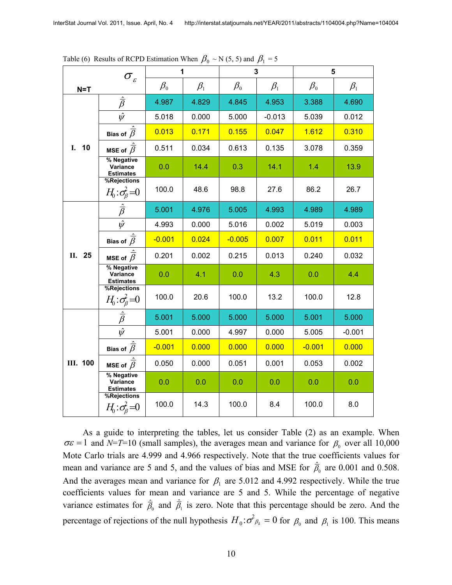| $\sigma_{\scriptscriptstyle \mathcal{E}}$ |                                                                     |           | 1         | 3         |           | 5         |           |
|-------------------------------------------|---------------------------------------------------------------------|-----------|-----------|-----------|-----------|-----------|-----------|
| $N = T$                                   |                                                                     | $\beta_0$ | $\beta_1$ | $\beta_0$ | $\beta_1$ | $\beta_0$ | $\beta_1$ |
|                                           | $\frac{\hat{\overline{\beta}}}{\hat{\psi}}$                         | 4.987     | 4.829     | 4.845     | 4.953     | 3.388     | 4.690     |
|                                           |                                                                     | 5.018     | 0.000     | 5.000     | $-0.013$  | 5.039     | 0.012     |
|                                           | Bias of $\hat{\overline{\beta}}$<br>MSE of $\hat{\overline{\beta}}$ | 0.013     | 0.171     | 0.155     | 0.047     | 1.612     | 0.310     |
| 10<br>I.                                  |                                                                     | 0.511     | 0.034     | 0.613     | 0.135     | 3.078     | 0.359     |
|                                           | % Negative<br>Variance<br><b>Estimates</b>                          | 0.0       | 14.4      | 0.3       | 14.1      | 1.4       | 13.9      |
|                                           | %Rejections<br>$H_0: \sigma_\beta^2 = 0$                            | 100.0     | 48.6      | 98.8      | 27.6      | 86.2      | 26.7      |
|                                           | $\frac{\hat{\vec{\beta}}}{\hat{\psi}}$                              | 5.001     | 4.976     | 5.005     | 4.993     | 4.989     | 4.989     |
|                                           |                                                                     | 4.993     | 0.000     | 5.016     | 0.002     | 5.019     | 0.003     |
|                                           | Bias of $\overline{\hat{\beta}}$                                    | $-0.001$  | 0.024     | $-0.005$  | 0.007     | 0.011     | 0.011     |
| 25<br>П.                                  | MSE of $\hat{\overline{\beta}}$                                     | 0.201     | 0.002     | 0.215     | 0.013     | 0.240     | 0.032     |
|                                           | % Negative<br>Variance<br><b>Estimates</b>                          | 0.0       | 4.1       | 0.0       | 4.3       | 0.0       | 4.4       |
|                                           | %Rejections<br>$rac{H_0: \sigma_\beta^2 = 0}{\hat{\beta}}$          | 100.0     | 20.6      | 100.0     | 13.2      | 100.0     | 12.8      |
|                                           |                                                                     | 5.001     | 5.000     | 5.000     | 5.000     | 5.001     | 5.000     |
|                                           | $\hat{\psi}$                                                        | 5.001     | 0.000     | 4.997     | 0.000     | 5.005     | $-0.001$  |
| <b>III. 100</b>                           | Bias of $\overline{\hat{\beta}}$                                    | $-0.001$  | 0.000     | 0.000     | 0.000     | $-0.001$  | 0.000     |
|                                           | MSE of $\hat{\overline{\beta}}$                                     | 0.050     | 0.000     | 0.051     | 0.001     | 0.053     | 0.002     |
|                                           | % Negative<br>Variance<br><b>Estimates</b>                          | 0.0       | 0.0       | 0.0       | 0.0       | 0.0       | 0.0       |
|                                           | %Rejections<br>$H_0: \sigma_\beta^2 = 0$                            | 100.0     | 14.3      | 100.0     | 8.4       | 100.0     | 8.0       |

Table (6) Results of RCPD Estimation When  $\beta_0 \sim N(5, 5)$  and  $\beta_1 = 5$ 

As a guide to interpreting the tables, let us consider Table (2) as an example. When  $\sigma \varepsilon = 1$  and *N*=*T*=10 (small samples), the averages mean and variance for  $\beta_0$  over all 10,000 Mote Carlo trials are 4.999 and 4.966 respectively. Note that the true coefficients values for mean and variance are 5 and 5, and the values of bias and MSE for  $\hat{\bar{\beta}}_0$  are 0.001 and 0.508. And the averages mean and variance for  $\beta_1$  are 5.012 and 4.992 respectively. While the true coefficients values for mean and variance are 5 and 5. While the percentage of negative variance estimates for  $\hat{\vec{B}}_0$  and  $\hat{\vec{B}}_1$  is zero. Note that this percentage should be zero. And the percentage of rejections of the null hypothesis  $H_0: \sigma^2_{\beta_k} = 0$  for  $\beta_0$  and  $\beta_1$  is 100. This means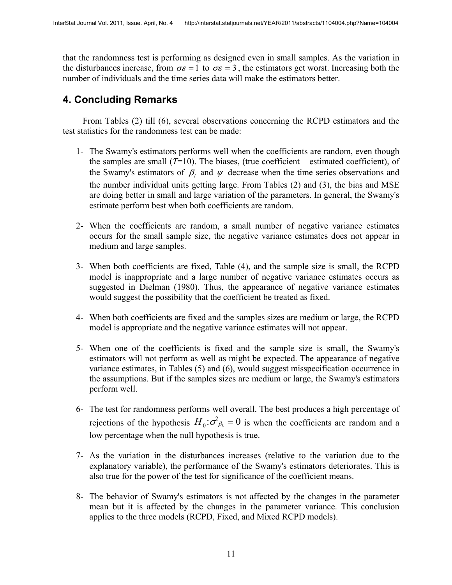that the randomness test is performing as designed even in small samples. As the variation in the disturbances increase, from  $\sigma \varepsilon = 1$  to  $\sigma \varepsilon = 3$ , the estimators get worst. Increasing both the number of individuals and the time series data will make the estimators better.

## **4. Concluding Remarks**

From Tables (2) till (6), several observations concerning the RCPD estimators and the test statistics for the randomness test can be made:

- 1- The Swamy's estimators performs well when the coefficients are random, even though the samples are small  $(T=10)$ . The biases, (true coefficient – estimated coefficient), of the Swamy's estimators of  $\beta$ <sub>i</sub> and  $\psi$  decrease when the time series observations and the number individual units getting large. From Tables (2) and (3), the bias and MSE are doing better in small and large variation of the parameters. In general, the Swamy's estimate perform best when both coefficients are random.
- 2- When the coefficients are random, a small number of negative variance estimates occurs for the small sample size, the negative variance estimates does not appear in medium and large samples.
- 3- When both coefficients are fixed, Table (4), and the sample size is small, the RCPD model is inappropriate and a large number of negative variance estimates occurs as suggested in Dielman (1980). Thus, the appearance of negative variance estimates would suggest the possibility that the coefficient be treated as fixed.
- 4- When both coefficients are fixed and the samples sizes are medium or large, the RCPD model is appropriate and the negative variance estimates will not appear.
- 5- When one of the coefficients is fixed and the sample size is small, the Swamy's estimators will not perform as well as might be expected. The appearance of negative variance estimates, in Tables (5) and (6), would suggest misspecification occurrence in the assumptions. But if the samples sizes are medium or large, the Swamy's estimators perform well.
- 6- The test for randomness performs well overall. The best produces a high percentage of rejections of the hypothesis  $H_0: \sigma^2_{\beta_k} = 0$  is when the coefficients are random and a low percentage when the null hypothesis is true.
- 7- As the variation in the disturbances increases (relative to the variation due to the explanatory variable), the performance of the Swamy's estimators deteriorates. This is also true for the power of the test for significance of the coefficient means.
- 8- The behavior of Swamy's estimators is not affected by the changes in the parameter mean but it is affected by the changes in the parameter variance. This conclusion applies to the three models (RCPD, Fixed, and Mixed RCPD models).